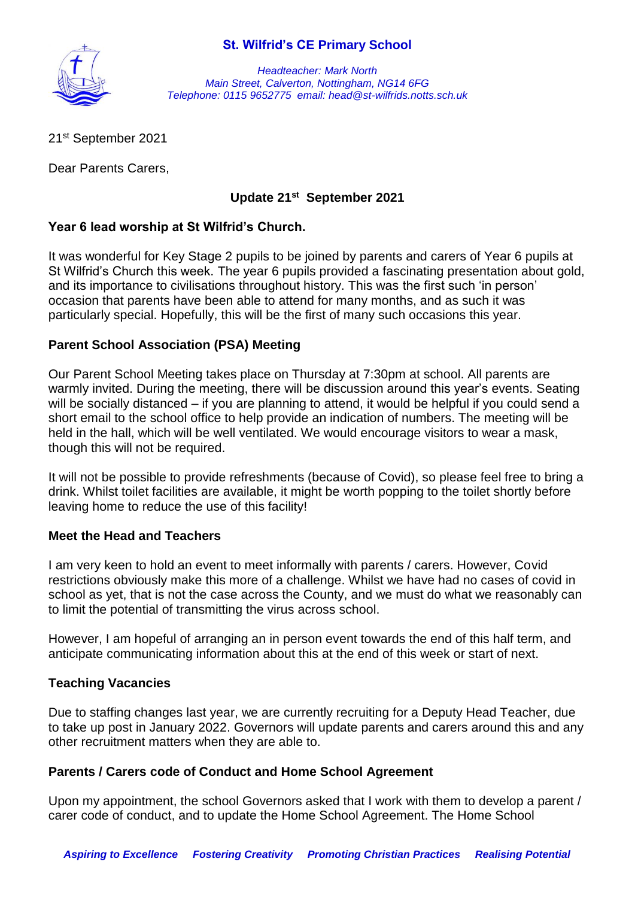# **St. Wilfrid's CE Primary School**



*Headteacher: Mark North Main Street, Calverton, Nottingham, NG14 6FG Telephone: 0115 9652775 email: head@st-wilfrids.notts.sch.uk*

21st September 2021

Dear Parents Carers,

# **Update 21 st September 2021**

## **Year 6 lead worship at St Wilfrid's Church.**

It was wonderful for Key Stage 2 pupils to be joined by parents and carers of Year 6 pupils at St Wilfrid's Church this week. The year 6 pupils provided a fascinating presentation about gold, and its importance to civilisations throughout history. This was the first such 'in person' occasion that parents have been able to attend for many months, and as such it was particularly special. Hopefully, this will be the first of many such occasions this year.

## **Parent School Association (PSA) Meeting**

Our Parent School Meeting takes place on Thursday at 7:30pm at school. All parents are warmly invited. During the meeting, there will be discussion around this year's events. Seating will be socially distanced – if you are planning to attend, it would be helpful if you could send a short email to the school office to help provide an indication of numbers. The meeting will be held in the hall, which will be well ventilated. We would encourage visitors to wear a mask, though this will not be required.

It will not be possible to provide refreshments (because of Covid), so please feel free to bring a drink. Whilst toilet facilities are available, it might be worth popping to the toilet shortly before leaving home to reduce the use of this facility!

#### **Meet the Head and Teachers**

I am very keen to hold an event to meet informally with parents / carers. However, Covid restrictions obviously make this more of a challenge. Whilst we have had no cases of covid in school as yet, that is not the case across the County, and we must do what we reasonably can to limit the potential of transmitting the virus across school.

However, I am hopeful of arranging an in person event towards the end of this half term, and anticipate communicating information about this at the end of this week or start of next.

#### **Teaching Vacancies**

Due to staffing changes last year, we are currently recruiting for a Deputy Head Teacher, due to take up post in January 2022. Governors will update parents and carers around this and any other recruitment matters when they are able to.

#### **Parents / Carers code of Conduct and Home School Agreement**

Upon my appointment, the school Governors asked that I work with them to develop a parent / carer code of conduct, and to update the Home School Agreement. The Home School